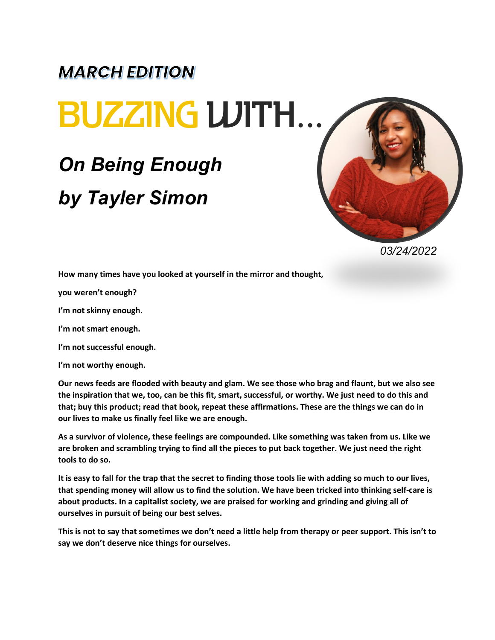## **MARCH EDITION BUZZING WITH...**

## *On Being Enough by Tayler Simon*



*03/24/2022*

**How many times have you looked at yourself in the mirror and thought,**

**you weren't enough?**

**I'm not skinny enough.**

**I'm not smart enough.**

**I'm not successful enough.**

**I'm not worthy enough.**

**Our news feeds are flooded with beauty and glam. We see those who brag and flaunt, but we also see the inspiration that we, too, can be this fit, smart, successful, or worthy. We just need to do this and that; buy this product; read that book, repeat these affirmations. These are the things we can do in our lives to make us finally feel like we are enough.**

**As a survivor of violence, these feelings are compounded. Like something was taken from us. Like we are broken and scrambling trying to find all the pieces to put back together. We just need the right tools to do so.**

**It is easy to fall for the trap that the secret to finding those tools lie with adding so much to our lives, that spending money will allow us to find the solution. We have been tricked into thinking self-care is about products. In a capitalist society, we are praised for working and grinding and giving all of ourselves in pursuit of being our best selves.**

**This is not to say that sometimes we don't need a little help from therapy or peer support. This isn't to say we don't deserve nice things for ourselves.**